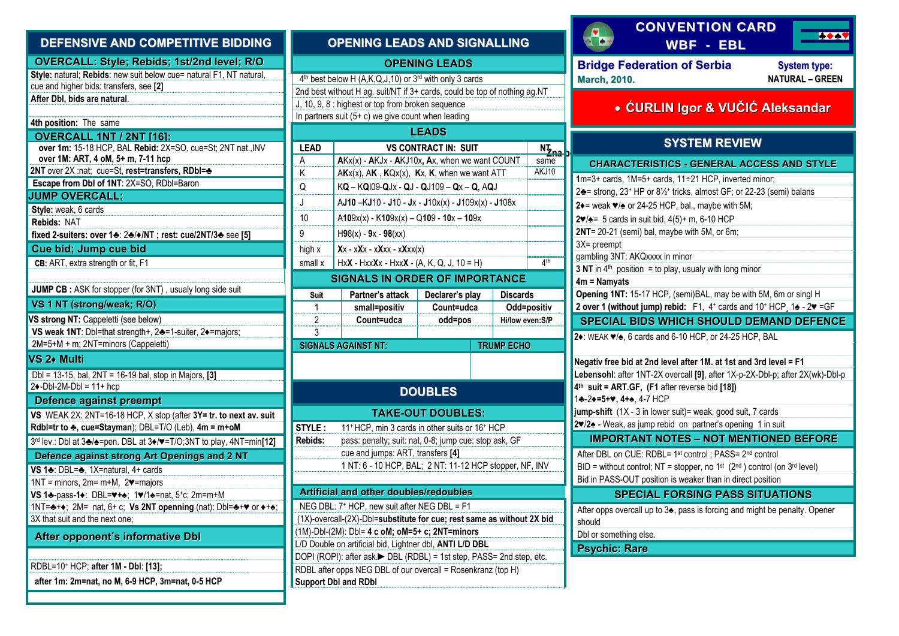| DEFENSIVE AND COMPETITIVE BIDDING                                                                                              | C                        |
|--------------------------------------------------------------------------------------------------------------------------------|--------------------------|
| OVERCALL: Style; Rebids; 1st/2nd level; R/O                                                                                    |                          |
| Style: natural; Rebids: new suit below cue= natural F1, NT natural,                                                            | 4 <sup>th</sup> best be  |
| cue and higher bids: transfers, see [2]                                                                                        | 2nd best w               |
| After Dbl, bids are natural.                                                                                                   | J, 10, 9, 8:             |
| 4th position: The same                                                                                                         | In partners              |
| <b>OVERCALL 1NT / 2NT [16]:</b>                                                                                                |                          |
| over 1m: 15-18 HCP, BAL Rebid: 2X=SO, cue=St; 2NT nat., INV                                                                    | <b>LEAD</b>              |
| over 1M: ART, 4 oM, 5+ m, 7-11 hcp                                                                                             | А                        |
| 2NT over 2X :nat; cue=St, rest=transfers, RDbl=+                                                                               | Κ                        |
| Escape from Dbl of 1NT: 2X=SO, RDbl=Baron                                                                                      | Q                        |
| <b>JUMP OVERCALL:</b>                                                                                                          | J                        |
| Style: weak, 6 cards                                                                                                           | 10                       |
| Rebids: NAT                                                                                                                    | 9                        |
| fixed 2-suiters: over 1+: 2+/+/NT; rest: cue/2NT/3+ see [5]                                                                    |                          |
| Cue bid; Jump cue bid                                                                                                          | high x                   |
| CB: ART, extra strength or fit, F1                                                                                             | small x                  |
| <b>JUMP CB</b> : ASK for stopper (for 3NT), usualy long side suit                                                              |                          |
| VS 1 NT (strong/weak; R/O)                                                                                                     | Suit                     |
|                                                                                                                                | 1                        |
| VS strong NT: Cappeletti (see below)<br>VS weak 1NT: Dbl=that strength+, 2+=1-suiter, 2+=majors;                               | 2<br>3                   |
| 2M=5+M + m; 2NT=minors (Cappeletti)                                                                                            | <b>SIGNALS</b>           |
| VS 2+ Multi                                                                                                                    |                          |
|                                                                                                                                |                          |
| Dbl = 13-15, bal, 2NT = 16-19 bal, stop in Majors, [3]<br>$2\blacklozenge$ -Dbl-2M-Dbl = 11+ hcp                               |                          |
| Defence against preempt                                                                                                        |                          |
| VS WEAK 2X: 2NT=16-18 HCP, X stop (after 3Y= tr. to next av. suit                                                              |                          |
| Rdbl=tr to $\clubsuit$ , cue=Stayman); DBL=T/O (Leb), 4m = m+oM                                                                | STYLE:                   |
| 3rd lev.: Dbl at 3 $\clubsuit$ / $\spadesuit$ =pen. DBL at 3 $\spadesuit$ / $\blacktriangledown$ =T/O;3NT to play, 4NT=min[12] | Rebids:                  |
| Defence against strong Art Openings and 2 NT                                                                                   |                          |
| VS 1♣: DBL=♣, 1X=natural, 4+ cards                                                                                             |                          |
| $1NT =$ minors, $2m = m + M$ , $2\blacktriangledown$ = majors                                                                  |                          |
| VS 1♣-pass-1♦: DBL=♥+♠; 1♥/1♠=nat, 5+c; 2m=m+M                                                                                 | <b>Artificia</b>         |
|                                                                                                                                | <b>NEG DBL</b>           |
| 3X that suit and the next one;                                                                                                 | $(1X)$ -overc            |
| After opponent's informative Dbl                                                                                               | $(1M)$ -Dbl- $(2)$       |
|                                                                                                                                | L/D Double               |
| RDBL=10+ HCP; after 1M - Dbl: [13];                                                                                            | DOPI (ROF                |
| after 1m: 2m=nat, no M, 6-9 HCP, 3m=nat, 0-5 HCP                                                                               | RDBL after<br>Support DI |
|                                                                                                                                |                          |

| <b>OPENING LEADS AND SIGNALLING</b>                                    |                                                                                             |                             |                 |                           |  |
|------------------------------------------------------------------------|---------------------------------------------------------------------------------------------|-----------------------------|-----------------|---------------------------|--|
|                                                                        |                                                                                             | <b>OPENING LEADS</b>        |                 |                           |  |
|                                                                        | 4 <sup>th</sup> best below H (A,K,Q,J,10) or 3 <sup>rd</sup> with only 3 cards              |                             |                 |                           |  |
|                                                                        | 2nd best without H ag. suit/NT if 3+ cards, could be top of nothing ag.NT                   |                             |                 |                           |  |
|                                                                        | J, 10, 9, 8 : highest or top from broken sequence                                           |                             |                 |                           |  |
|                                                                        | In partners suit (5+ c) we give count when leading                                          |                             |                 |                           |  |
|                                                                        |                                                                                             | <b>LEADS</b>                |                 |                           |  |
| <b>LEAD</b>                                                            |                                                                                             | <b>VS CONTRACT IN: SUIT</b> |                 | nt<br><sup>Ni</sup> zna p |  |
| A                                                                      | AKx(x) - AKJx - AKJ10x, Ax, when we want COUNT                                              |                             |                 | same<br>AKJ10             |  |
| Κ                                                                      | $AKx(x)$ , AK, $KQx(x)$ , Kx, K, when we want ATT                                           |                             |                 |                           |  |
| Q                                                                      | $KQ - KQ109 - QJx - QJ - QJ109 - Qx - Q, AQJ$                                               |                             |                 |                           |  |
| J                                                                      | $AJ10 - KJ10 - J10 - Jx - J10x(x) - J109x(x) - J108x$                                       |                             |                 |                           |  |
| 10                                                                     | $A109x(x) - K109x(x) - Q109 - 10x - 109x$                                                   |                             |                 |                           |  |
| 9                                                                      | $H98(x) - 9x - 98(xx)$                                                                      |                             |                 |                           |  |
| high x                                                                 | $Xx - xXx - xXxx - xXxx(x)$                                                                 |                             |                 |                           |  |
| small x                                                                | $HxX - HxxXx - HxxX - (A, K, Q, J, 10 = H)$                                                 |                             |                 | 4 <sup>th</sup>           |  |
|                                                                        | <b>SIGNALS IN ORDER OF IMPORTANCE</b>                                                       |                             |                 |                           |  |
| Suit                                                                   | Partner's attack                                                                            | Declarer's play             | <b>Discards</b> |                           |  |
| $\mathbf{1}$                                                           | small=positiv                                                                               | Count=udca                  |                 | Odd=positiv               |  |
| $\overline{2}$                                                         | Count=udca                                                                                  | odd=pos                     |                 | Hi/low even: S/P          |  |
| 3<br><b>SIGNALS AGAINST NT:</b><br><b>TRUMP ECHO</b>                   |                                                                                             |                             |                 |                           |  |
|                                                                        |                                                                                             |                             |                 |                           |  |
|                                                                        |                                                                                             |                             |                 |                           |  |
| <b>DOUBLES</b>                                                         |                                                                                             |                             |                 |                           |  |
|                                                                        |                                                                                             | <b>TAKE-OUT DOUBLES:</b>    |                 |                           |  |
| STYLE :                                                                | 11 <sup>+</sup> HCP, min 3 cards in other suits or 16 <sup>+</sup> HCP                      |                             |                 |                           |  |
| Rebids:                                                                | pass: penalty; suit: nat, 0-8; jump cue: stop ask, GF                                       |                             |                 |                           |  |
|                                                                        | cue and jumps: ART, transfers [4]                                                           |                             |                 |                           |  |
|                                                                        | 1 NT: 6 - 10 HCP, BAL; 2 NT: 11-12 HCP stopper, NF, INV                                     |                             |                 |                           |  |
| Artificial and other doubles/redoubles                                 |                                                                                             |                             |                 |                           |  |
| NEG DBL: 7 <sup>+</sup> HCP, new suit after NEG DBL = F1               |                                                                                             |                             |                 |                           |  |
| (1X)-overcall-(2X)-Dbl=substitute for cue; rest same as without 2X bid |                                                                                             |                             |                 |                           |  |
|                                                                        |                                                                                             |                             |                 |                           |  |
|                                                                        | (1M)-Dbl-(2M): Dbl= 4 c oM; oM=5+ c; 2NT=minors                                             |                             |                 |                           |  |
|                                                                        | L/D Double on artificial bid, Lightner dbl, ANTI L/D DBL                                    |                             |                 |                           |  |
|                                                                        | DOPI (ROPI): after ask.▶ DBL (RDBL) = 1st step, PASS= 2nd step, etc.                        |                             |                 |                           |  |
|                                                                        | RDBL after opps NEG DBL of our overcall = Rosenkranz (top H)<br><b>Support Dbl and RDbl</b> |                             |                 |                           |  |

|                  | <b>CONVENTION CARD</b><br>$+ -$<br><b>WBF</b><br><b>EBL</b>                                                                                        |  |  |  |  |  |  |
|------------------|----------------------------------------------------------------------------------------------------------------------------------------------------|--|--|--|--|--|--|
|                  | <b>Bridge Federation of Serbia</b><br><b>System type:</b><br><b>NATURAL - GREEN</b><br><b>March, 2010.</b>                                         |  |  |  |  |  |  |
|                  | • ĆURLIN Igor & VUČIĆ Aleksandar                                                                                                                   |  |  |  |  |  |  |
| <del>ia </del> b | <b>SYSTEM REVIEW</b>                                                                                                                               |  |  |  |  |  |  |
|                  | <b>CHARACTERISTICS - GENERAL ACCESS AND STYLE</b>                                                                                                  |  |  |  |  |  |  |
|                  | 1m=3+ cards, 1M=5+ cards, 11÷21 HCP, inverted minor;                                                                                               |  |  |  |  |  |  |
|                  | 2♣ = strong, 23+ HP or 81/2+ tricks, almost GF; or 22-23 (semi) balans                                                                             |  |  |  |  |  |  |
|                  | 2+= weak $\blacktriangleright$ or 24-25 HCP, bal., maybe with 5M;                                                                                  |  |  |  |  |  |  |
|                  | 2♥/ $\spadesuit$ = 5 cards in suit bid, 4(5)+ m, 6-10 HCP                                                                                          |  |  |  |  |  |  |
|                  | 2NT= 20-21 (semi) bal, maybe with 5M, or 6m;<br>3X= preempt                                                                                        |  |  |  |  |  |  |
|                  | gambling 3NT: AKQxxxx in minor                                                                                                                     |  |  |  |  |  |  |
|                  | 3 NT in $4th$ position = to play, usualy with long minor                                                                                           |  |  |  |  |  |  |
|                  | $4m =$ Namyats                                                                                                                                     |  |  |  |  |  |  |
|                  | Opening 1NT: 15-17 HCP, (semi)BAL, may be with 5M, 6m or singl H                                                                                   |  |  |  |  |  |  |
|                  | 2 over 1 (without jump) rebid: F1, 4+ cards and 10+ HCP, 1 $\triangle$ - 2 $\blacktriangledown$ = GF                                               |  |  |  |  |  |  |
|                  | <b>SPECIAL BIDS WHICH SHOULD DEMAND DEFENCE</b>                                                                                                    |  |  |  |  |  |  |
|                  | 2. WEAK $\blacktriangledown/\blacktriangle$ , 6 cards and 6-10 HCP, or 24-25 HCP, BAL                                                              |  |  |  |  |  |  |
|                  |                                                                                                                                                    |  |  |  |  |  |  |
|                  | Negativ free bid at 2nd level after 1M. at 1st and 3rd level = F1<br>Lebensohl: after 1NT-2X overcall [9], after 1X-p-2X-Dbl-p; after 2X(wk)-Dbl-p |  |  |  |  |  |  |
|                  | 4th suit = ART.GF, (F1 after reverse bid [18])                                                                                                     |  |  |  |  |  |  |
|                  | 1÷-2+=5+v, 4++, 4-7 HCP                                                                                                                            |  |  |  |  |  |  |
|                  | jump-shift (1X - 3 in lower suit) = weak, good suit, 7 cards                                                                                       |  |  |  |  |  |  |
|                  | 2 /2 - Weak, as jump rebid on partner's opening 1 in suit                                                                                          |  |  |  |  |  |  |
|                  | <b>IMPORTANT NOTES - NOT MENTIONED BEFORE</b>                                                                                                      |  |  |  |  |  |  |
|                  | After DBL on CUE: RDBL= 1 <sup>st</sup> control ; PASS= 2 <sup>nd</sup> control                                                                    |  |  |  |  |  |  |
|                  | BID = without control; NT = stopper, no 1 <sup>st</sup> ( $2nd$ ) control (on $3rd$ level)                                                         |  |  |  |  |  |  |
|                  | Bid in PASS-OUT position is weaker than in direct position                                                                                         |  |  |  |  |  |  |
|                  | <b>SPECIAL FORSING PASS SITUATIONS</b>                                                                                                             |  |  |  |  |  |  |
|                  | After opps overcall up to 3 <sup>*</sup> , pass is forcing and might be penalty. Opener                                                            |  |  |  |  |  |  |
|                  | should<br>Dbl or something else.                                                                                                                   |  |  |  |  |  |  |
|                  | <b>Psychic: Rare</b>                                                                                                                               |  |  |  |  |  |  |
|                  |                                                                                                                                                    |  |  |  |  |  |  |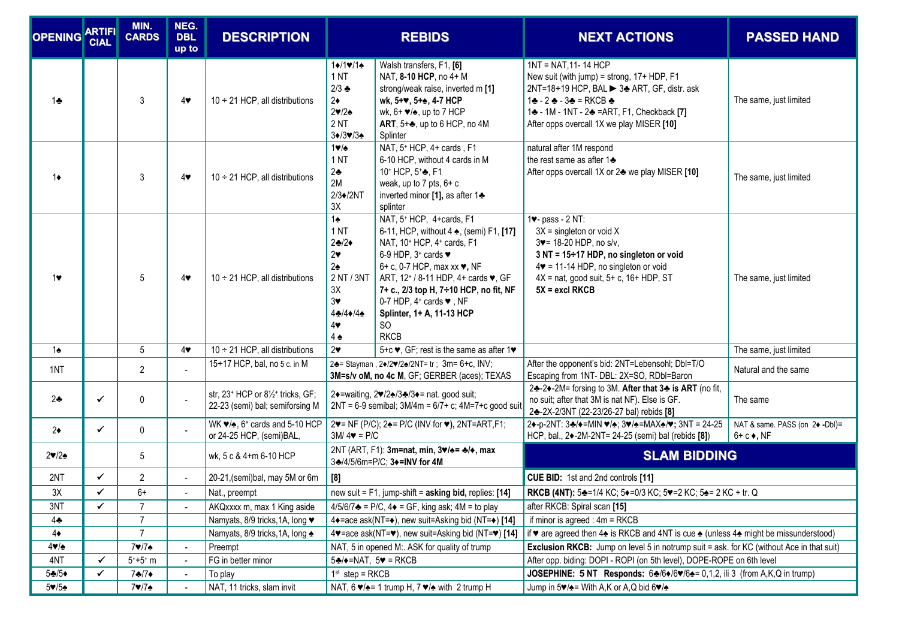| <b>OPENING ARTIFI</b>                 | <b>CIAL</b>  | MIN.<br><b>CARDS</b> | NEG.<br><b>DBL</b><br>up to | <b>DESCRIPTION</b>                                                                                     | <b>REBIDS</b>                                                                                                                                                                     |                                                                                                                                                                                                                                                                                                                                                                                                                     |                                                                                                                                                                                                                                                     |                                                        | <b>NEXT ACTIONS</b> | <b>PASSED HAND</b> |
|---------------------------------------|--------------|----------------------|-----------------------------|--------------------------------------------------------------------------------------------------------|-----------------------------------------------------------------------------------------------------------------------------------------------------------------------------------|---------------------------------------------------------------------------------------------------------------------------------------------------------------------------------------------------------------------------------------------------------------------------------------------------------------------------------------------------------------------------------------------------------------------|-----------------------------------------------------------------------------------------------------------------------------------------------------------------------------------------------------------------------------------------------------|--------------------------------------------------------|---------------------|--------------------|
| 1.5                                   |              | 3                    | $4\bullet$                  | $10 \div 21$ HCP, all distributions                                                                    | $1+11$<br>1 <sub>NT</sub><br>$2/3$ $\bullet$<br>$2\bullet$<br>$2 \blacktriangledown / 2 \blacktriangle$<br>2 <sub>N</sub><br>$3\blacklozenge/3\blacktriangledown/3\blacktriangle$ | Walsh transfers, F1, [6]<br>NAT, 8-10 HCP, no 4+ M<br>strong/weak raise, inverted m [1]<br>wk, 5+ $\blacktriangledown$ , 5+ $\clubsuit$ , 4-7 HCP<br>wk, $6+ \vee \wedge$ , up to 7 HCP<br>ART, $5+\frac{1}{20}$ , up to 6 HCP, no 4M<br>Splinter                                                                                                                                                                   | 1NT = NAT, 11-14 HCP<br>New suit (with jump) = strong, 17+ HDP, F1<br>2NT=18÷19 HCP, BAL > 3→ ART, GF, distr. ask<br>1÷ - 2 ÷ - 3÷ = RKCB ÷<br>1+ - 1M - 1NT - 2+ = ART, F1, Checkback [7]<br>After opps overcall 1X we play MISER [10]             | The same, just limited                                 |                     |                    |
| $1\bullet$                            |              | 3                    | $4\bullet$                  | $10 \div 21$ HCP, all distributions                                                                    | $1 \vee \triangle$<br>1 <sub>NT</sub><br>$2\clubsuit$<br>2M<br>$2/3$ /2NT<br>3X                                                                                                   | NAT, 5 <sup>+</sup> HCP, 4+ cards, F1<br>6-10 HCP, without 4 cards in M<br>10+ HCP, 5+ $\clubsuit$ , F1<br>weak, up to $7$ pts, $6+ c$<br>inverted minor [1], as after 1+<br>splinter                                                                                                                                                                                                                               | natural after 1M respond<br>the rest same as after 1+<br>After opps overcall 1X or 2♣ we play MISER [10]                                                                                                                                            | The same, just limited                                 |                     |                    |
| 1♥                                    |              | 5                    | $4\bullet$                  | $10 \div 21$ HCP, all distributions                                                                    | $1\spadesuit$<br>1 <sub>NT</sub><br>$2-2$<br>$2\bullet$<br>$2\spadesuit$<br>2 NT / 3NT<br>3X<br>$3\bullet$<br>$4-4$<br>$4\bullet$<br>$4\spadesuit$                                | NAT, 5 <sup>+</sup> HCP, 4+cards, F1<br>6-11, HCP, without 4 ♠, (semi) F1, [17]<br>NAT, 10 <sup>+</sup> HCP, 4 <sup>+</sup> cards, F1<br>6-9 HDP, $3^*$ cards $\blacktriangledown$<br>6+ c, 0-7 HCP, max xx ♥, NF<br>ART, 12 <sup>+</sup> / 8-11 HDP, 4+ cards ♥, GF<br>7+ c., 2/3 top H, 7÷10 HCP, no fit, NF<br>0-7 HDP, $4^*$ cards $\blacktriangledown$ , NF<br>Splinter, 1+ A, 11-13 HCP<br>SO.<br><b>RKCB</b> | 1v- pass - 2 NT:<br>$3X =$ singleton or void X<br>3v= 18-20 HDP, no s/v,<br>3 NT = 15÷17 HDP, no singleton or void<br>$4\blacktriangleright$ = 11-14 HDP, no singleton or void<br>4X = nat, good suit, 5+ c, 16+ HDP, ST<br>$5X = \text{excl}$ RKCB | The same, just limited                                 |                     |                    |
| $1\spadesuit$                         |              | $5\phantom{.0}$      | $4\bullet$                  | $10 \div 21$ HCP, all distributions                                                                    | $2\bullet$                                                                                                                                                                        | 5+c ♥, GF; rest is the same as after 1♥                                                                                                                                                                                                                                                                                                                                                                             |                                                                                                                                                                                                                                                     | The same, just limited                                 |                     |                    |
| 1NT                                   |              | $\overline{2}$       |                             | 15÷17 HCP, bal, no 5 c. in M                                                                           | 2+= Stayman, 2+/2+/2+/2NT= tr; 3m= 6+c, INV;<br>3M=s/v oM, no 4c M, GF; GERBER (aces); TEXAS                                                                                      |                                                                                                                                                                                                                                                                                                                                                                                                                     | After the opponent's bid: 2NT=Lebensohl; Dbl=T/O<br>Escaping from 1NT- DBL: 2X=SO, RDbl=Baron                                                                                                                                                       | Natural and the same                                   |                     |                    |
| $2\bullet$                            | $\checkmark$ | 0                    | $\blacksquare$              | str, 23 <sup>+</sup> HCP or 8 <sup>1/2+</sup> tricks, GF;<br>22-23 (semi) bal; semiforsing M           | 2→=waiting, 2♥/2♠/3♣/3◆= nat. good suit;<br>$2NT = 6-9$ semibal; $3M/4m = 6/7 + c$ ; $4M=7+c$ good suit                                                                           |                                                                                                                                                                                                                                                                                                                                                                                                                     | 2♣-2♦-2M= forsing to 3M. After that 3♣ is ART (no fit,<br>no suit; after that 3M is nat NF). Else is GF.<br>24-2X-2/3NT (22-23/26-27 bal) rebids [8]                                                                                                | The same                                               |                     |                    |
| $2\bullet$                            | $\checkmark$ | 0                    |                             | WK $\blacktriangledown/\blacktriangle$ , 6 <sup>+</sup> cards and 5-10 HCP<br>or 24-25 HCP, (semi)BAL, | 2♥= NF (P/C); 2♠= P/C (INV for ♥), 2NT=ART,F1;<br>$3M/4\blacktriangledown = P/C$                                                                                                  |                                                                                                                                                                                                                                                                                                                                                                                                                     | 2+-p-2NT: 3+/+=MIN */+; 3*/+=MAX+/*; 3NT = 24-25<br>HCP, bal., 2+-2M-2NT= 24-25 (semi) bal (rebids [8])                                                                                                                                             | NAT & same. PASS (on 2♦ -Dbl)=<br>$6 + c \bullet$ , NF |                     |                    |
| $2\blacktriangledown/2\blacktriangle$ |              | 5                    |                             | wk, 5 c & 4+m 6-10 HCP                                                                                 | 2NT (ART, F1): 3m=nat, min, 3♥/♠= ♣/♦, max<br>3♣/4/5/6m=P/C; 3◆=INV for 4M                                                                                                        |                                                                                                                                                                                                                                                                                                                                                                                                                     | <b>SLAM BIDDING</b>                                                                                                                                                                                                                                 |                                                        |                     |                    |
| 2NT                                   | ✓            | $\overline{2}$       |                             | 20-21, (semi) bal, may 5M or 6m                                                                        | [8]                                                                                                                                                                               |                                                                                                                                                                                                                                                                                                                                                                                                                     | CUE BID: 1st and 2nd controls [11]                                                                                                                                                                                                                  |                                                        |                     |                    |
| 3X                                    | $\checkmark$ | 6+                   | $\blacksquare$              | Nat., preempt                                                                                          |                                                                                                                                                                                   | new suit = $F1$ , jump-shift = asking bid, replies: [14]                                                                                                                                                                                                                                                                                                                                                            | RKCB (4NT): 5♣=1/4 KC; 5♦=0/3 KC; 5♥=2 KC; 5♣= 2 KC + tr. Q                                                                                                                                                                                         |                                                        |                     |                    |
| 3NT                                   | ✓            | $\overline{7}$       | $\blacksquare$              | AKQxxxx m, max 1 King aside                                                                            |                                                                                                                                                                                   | $4/5/6/7$ = P/C, $4\bullet$ = GF, king ask; $4M =$ to play                                                                                                                                                                                                                                                                                                                                                          | after RKCB: Spiral scan [15]                                                                                                                                                                                                                        |                                                        |                     |                    |
| $4\clubsuit$                          |              | $\overline{7}$       |                             | Namyats, 8/9 tricks, 1A, long ♥                                                                        |                                                                                                                                                                                   | 4+=ace ask(NT=+), new suit=Asking bid (NT=+) [14]                                                                                                                                                                                                                                                                                                                                                                   | if minor is agreed : $4m = RKCB$                                                                                                                                                                                                                    |                                                        |                     |                    |
| $4\bullet$                            |              | $\overline{7}$       |                             | Namyats, 8/9 tricks, 1A, long ←                                                                        |                                                                                                                                                                                   | 4 v=ace ask(NT= $\blacktriangledown$ ), new suit=Asking bid (NT= $\blacktriangledown$ ) [14]                                                                                                                                                                                                                                                                                                                        | if $\bullet$ are agreed then 4 $\bullet$ is RKCB and 4NT is cue $\bullet$ (unless 4 $\bullet$ might be missunderstood)                                                                                                                              |                                                        |                     |                    |
| $4 \blacktriangledown / \triangle$    |              | 7♥/7♠                | $\blacksquare$              | Preempt                                                                                                |                                                                                                                                                                                   | NAT, 5 in opened M:. ASK for quality of trump                                                                                                                                                                                                                                                                                                                                                                       | <b>Exclusion RKCB:</b> Jump on level 5 in notrump suit = ask. for KC (without Ace in that suit)                                                                                                                                                     |                                                        |                     |                    |
| 4NT                                   | ✓            | $5 + 5 + m$          | $\blacksquare$              | FG in better minor                                                                                     | $5\clubsuit$ / $\blacklozenge$ =NAT, $5\blacktriangledown$ = RKCB                                                                                                                 |                                                                                                                                                                                                                                                                                                                                                                                                                     | After opp. biding: DOPI - ROPI (on 5th level), DOPE-ROPE on 6th level                                                                                                                                                                               |                                                        |                     |                    |
| $5 - 5$<br>$5 \times 15$              | ✓            | 7♣/7♦                | $\blacksquare$              | To play<br>NAT, 11 tricks, slam invit                                                                  | $1st$ step = RKCB                                                                                                                                                                 |                                                                                                                                                                                                                                                                                                                                                                                                                     | JOSEPHINE: 5 NT Responds: 64/6+/6+/6+= 0,1,2, ili 3 (from A,K,Q in trump)<br>Jump in $5\blacktriangleright/\blacktriangle =$ With A,K or A,Q bid $6\blacktriangleright/\blacktriangle$                                                              |                                                        |                     |                    |
|                                       |              | 7♥/7♠                |                             |                                                                                                        | NAT, 6 $\blacktriangledown/\blacktriangle = 1$ trump H, 7 $\blacktriangledown/\blacktriangle$ with 2 trump H                                                                      |                                                                                                                                                                                                                                                                                                                                                                                                                     |                                                                                                                                                                                                                                                     |                                                        |                     |                    |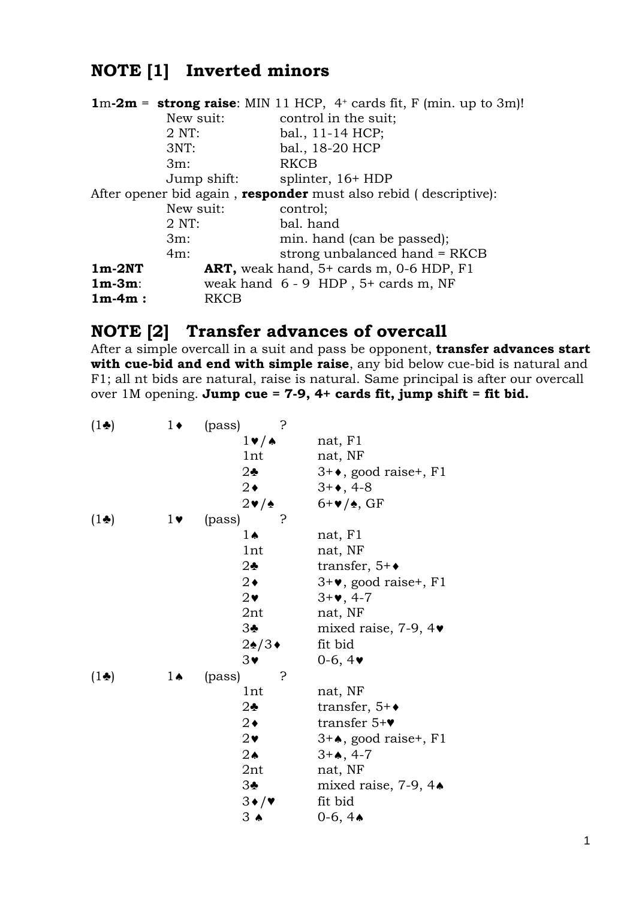# **NOTE [1] Inverted minors**

|           |                  | $1m-2m =$ strong raise: MIN 11 HCP, 4 <sup>+</sup> cards fit, F (min. up to 3m)! |
|-----------|------------------|----------------------------------------------------------------------------------|
|           | New suit:        | control in the suit;                                                             |
|           | $2$ NT:          | bal., 11-14 HCP;                                                                 |
|           | 3NT:             | bal., 18-20 HCP                                                                  |
|           | $3m$ :           | RKCB                                                                             |
|           | Jump shift:      | splinter, $16+HDP$                                                               |
|           |                  | After opener bid again, <b>responder</b> must also rebid (descriptive):          |
|           | New suit:        | control;                                                                         |
|           | $2 \text{ NT}$ : | bal. hand                                                                        |
|           | $3m$ :           | min. hand (can be passed);                                                       |
|           | $4m$ :           | strong unbalanced hand = RKCB                                                    |
| $1m-2NT$  |                  | ART, weak hand, $5+$ cards m, 0-6 HDP, F1                                        |
| $1m-3m$ : |                  | weak hand $6 - 9$ HDP, $5+$ cards m, NF                                          |
| $1m-4m$ : | RKCB             |                                                                                  |

# **NOTE [2] Transfer advances of overcall**

After a simple overcall in a suit and pass be opponent, **transfer advances start with cue-bid and end with simple raise**, any bid below cue-bid is natural and F1; all nt bids are natural, raise is natural. Same principal is after our overcall over 1M opening. **Jump cue = 7-9, 4+ cards fit, jump shift = fit bid.**

| $(1\bullet)$ | $1\bullet$     | (pass)<br>5.                     |                                         |
|--------------|----------------|----------------------------------|-----------------------------------------|
|              |                | $1 \vee / \triangle$             | nat, F1                                 |
|              |                | 1nt                              | nat, NF                                 |
|              |                | $2\clubsuit$                     | $3 + \bullet$ , good raise+, F1         |
|              |                | $2\bullet$                       | $3 + 4, 4 - 8$                          |
|              |                | $2\ntriangleright$ / $\triangle$ | $6+\vee/\diamond$ , GF                  |
| $(1\bullet)$ | $1\bullet$     | (pass)                           |                                         |
|              |                | 1 A                              | nat, F1                                 |
|              |                | 1nt                              | nat, NF                                 |
|              |                | $2\bullet$                       | transfer, $5+\bullet$                   |
|              |                | $2\bullet$                       | $3 + \bullet$ , good raise+, F1         |
|              |                | $2\bullet$                       | $3 + 4$ , 4-7                           |
|              |                | 2nt                              | nat, NF                                 |
|              |                | 3 <sub>2</sub>                   | mixed raise, 7-9, $4\blacktriangledown$ |
|              |                | $2\cdot/3\cdot$                  | fit bid                                 |
|              |                | $3\bullet$                       | $0-6, 4 \bullet$                        |
| $(1\bullet)$ | $1 \spadesuit$ | ?<br>(pass)                      |                                         |
|              |                | 1nt                              | nat, NF                                 |
|              |                | $2\clubsuit$                     | transfer, $5+\bullet$                   |
|              |                | $2\bullet$                       | transfer $5+\vee$                       |
|              |                | $2\bullet$                       | $3 + \bullet$ , good raise+, F1         |
|              |                | $2\spadesuit$                    | $3 + 4, 4 - 7$                          |
|              |                | 2nt                              | nat, NF                                 |
|              |                | $3\bullet$                       | mixed raise, $7-9$ , $4\bullet$         |
|              |                | $3\bullet/\bullet$               | fit bid                                 |
|              |                | $3 \bullet$                      | 0-6, $4\bullet$                         |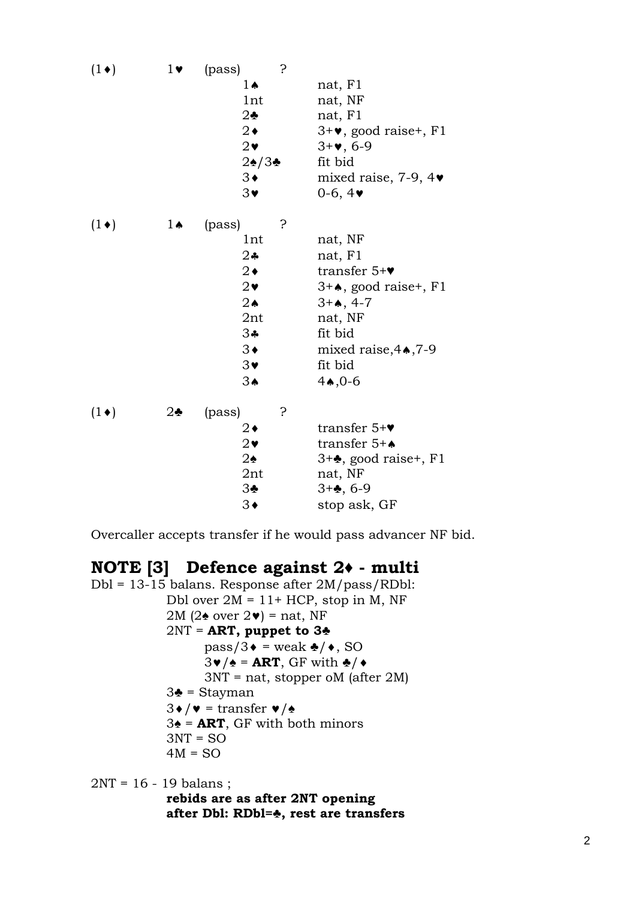| $(1\bullet)$ | $1\blacktriangledown$ | 5<br>(pass)    |                                         |
|--------------|-----------------------|----------------|-----------------------------------------|
|              |                       | $1 \spadesuit$ | nat, F1                                 |
|              |                       | 1nt            | nat, NF                                 |
|              |                       | $2\clubsuit$   | nat, F1                                 |
|              |                       | $2\bullet$     | $3 + \bullet$ , good raise+, F1         |
|              |                       | $2\bullet$     | $3 + 4, 6 - 9$                          |
|              |                       | $2$ ു∕3∲       | fit bid                                 |
|              |                       | $3\bullet$     | mixed raise, 7-9, $4\blacktriangledown$ |
|              |                       | $3\bullet$     | $0-6, 4 \bullet$                        |
| $(1\bullet)$ | $1 \spadesuit$        | ?<br>(pass)    |                                         |
|              |                       | 1nt            | nat, NF                                 |
|              |                       | $2$ ♣          | nat, F1                                 |
|              |                       | $2\bullet$     | transfer $5+\mathbf{v}$                 |
|              |                       | $2\bullet$     | $3+A$ , good raise+, F1                 |
|              |                       | $2\spadesuit$  | $3 + 4, 4 - 7$                          |
|              |                       | 2nt            | nat, NF                                 |
|              |                       | 34             | fit bid                                 |
|              |                       | $3\bullet$     | mixed raise, $4 \cdot 7 - 9$            |
|              |                       | $3\bullet$     | fit bid                                 |
|              |                       | $3\spadesuit$  | 4,0.6                                   |
| $(1\bullet)$ | $2\clubsuit$          | (pass)<br>5.   |                                         |
|              |                       | $2\bullet$     | transfer $5+\mathbf{v}$                 |
|              |                       | $2\bullet$     | transfer $5+A$                          |
|              |                       | $2\spadesuit$  | $3 + \bullet$ , good raise+, F1         |
|              |                       | 2nt            | nat, NF                                 |
|              |                       | 3 <sub>2</sub> | $3 + 4, 6 - 9$                          |
|              |                       | $3\bullet$     | stop ask, GF                            |

Overcaller accepts transfer if he would pass advancer NF bid.

### **NOTE [3] Defence against 2♦ - multi**

Dbl = 13-15 balans. Response after 2M/pass/RDbl: Dbl over  $2M = 11 + HCP$ , stop in M, NF 2M (2 $\triangle$  over 2 $\triangledown$ ) = nat, NF 2NT = **ART, puppet to 3♣**  $pass/3 \cdot = weak \cdot / \cdot$ , SO  $3\mathbf{v}/\mathbf{A}$  = **ART**, GF with  $\mathbf{A}/\mathbf{A}$  3NT = nat, stopper oM (after 2M) 3♣ = Stayman  $3\bullet/\bullet$  = transfer  $\bullet/\bullet$  3♠ = **ART**, GF with both minors  $3NT = SO$  $4M = SO$ 

2NT = 16 - 19 balans ;

 **rebids are as after 2NT opening after Dbl: RDbl=♣, rest are transfers**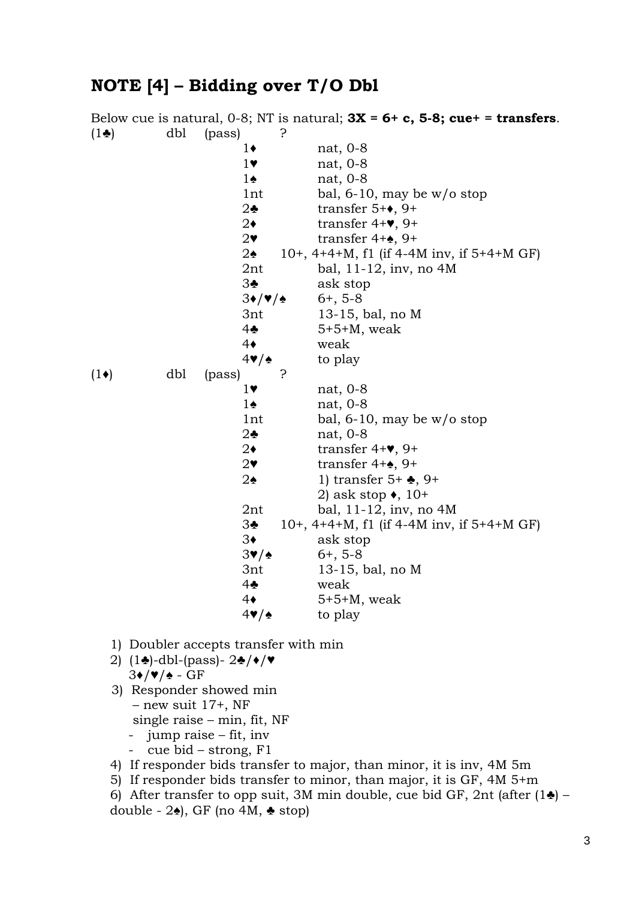### **NOTE [4] – Bidding over T/O Dbl**

Below cue is natural, 0-8; NT is natural; **3X = 6+ c, 5-8; cue+ = transfers**.  $(1\clubsuit)$  dbl (pass) ? 1♦ nat, 0-8 1♥ nat, 0-8 1♠ nat, 0-8 1nt bal, 6-10, may be w/o stop 2♣ transfer 5+♦, 9+ 2♦ transfer 4+♥, 9+ 2♥ transfer 4+♠, 9+ 2♠ 10+, 4+4+M, f1 (if 4-4M inv, if 5+4+M GF) 2nt bal, 11-12, inv, no 4M 3♣ ask stop  $3\bullet/\blacktriangledown/\blacktriangle$  6+, 5-8 3nt 13-15, bal, no M 4♣ 5+5+M, weak 4♦ weak  $4\blacktriangledown/\blacktriangle$  to play  $(1\bullet)$  dbl (pass) ? 1♥ nat, 0-8 1♠ nat, 0-8 1nt bal, 6-10, may be w/o stop 2♣ nat, 0-8 2♦ transfer 4+♥, 9+ 2♥ transfer 4+♠, 9+ 2♠ 1) transfer 5+ ♣, 9+ 2) ask stop  $\bullet$ , 10+ 2nt bal, 11-12, inv, no 4M 3♣ 10+, 4+4+M, f1 (if 4-4M inv, if 5+4+M GF) 3♦ ask stop  $3\blacktriangledown/\blacktriangle$  6+, 5-8 3nt 13-15, bal, no M 4♣ weak 4♦ 5+5+M, weak  $4\blacktriangledown/\blacktriangle$  to play 1) Doubler accepts transfer with min 2) (1♣)-dbl-(pass)- 2♣/♦/♥ 3♦/♥/♠ - GF 3) Responder showed min

 – new suit 17+, NF single raise – min, fit, NF

- jump raise fit, inv
- cue bid strong, F1
- 4) If responder bids transfer to major, than minor, it is inv, 4M 5m
- 5) If responder bids transfer to minor, than major, it is GF, 4M 5+m
- 6) After transfer to opp suit, 3M min double, cue bid GF, 2nt (after  $(1\bullet)$  double -  $2\spadesuit$ ), GF (no 4M,  $\clubsuit$  stop)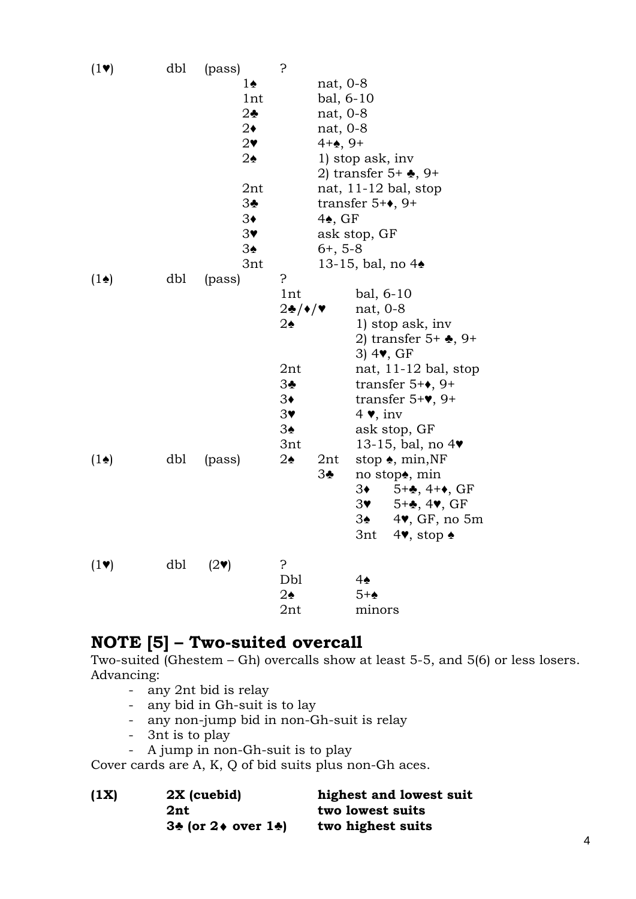| $(1\vee)$               | dbl | (pass)                  | ?                                             |                    |                                                            |
|-------------------------|-----|-------------------------|-----------------------------------------------|--------------------|------------------------------------------------------------|
|                         |     | 1♠                      |                                               | nat, 0-8           |                                                            |
|                         |     | 1nt                     |                                               | bal, 6-10          |                                                            |
|                         |     | $2\clubsuit$            |                                               | nat, 0-8           |                                                            |
|                         |     | $2\bullet$              |                                               | nat, 0-8           |                                                            |
|                         |     | $2\bullet$              |                                               | $4 + 2, 9 +$       |                                                            |
|                         |     | $2\spadesuit$           |                                               |                    | 1) stop ask, inv                                           |
|                         |     |                         |                                               |                    | 2) transfer $5+$ $\clubsuit$ , $9+$                        |
|                         |     | 2nt                     |                                               |                    | nat, $11-12$ bal, stop                                     |
|                         |     | 3♣                      |                                               |                    | transfer $5 + \bullet$ , 9+                                |
|                         |     | $3\bullet$              |                                               | $4\spadesuit$ , GF |                                                            |
|                         |     | $3\bullet$              |                                               |                    | ask stop, GF                                               |
|                         |     | 3♠                      |                                               | $6+, 5-8$          |                                                            |
|                         |     | 3nt                     |                                               |                    | 13-15, bal, no $4\bullet$                                  |
| $(1\spadesuit)$         | dbl | (pass)                  | 5.                                            |                    |                                                            |
|                         |     |                         | 1nt                                           |                    | $bal, 6-10$                                                |
|                         |     |                         | $2\clubsuit/\blacklozenge/\blacktriangledown$ |                    | nat, $0-8$                                                 |
|                         |     |                         | $2\spadesuit$                                 |                    | 1) stop ask, inv                                           |
|                         |     |                         |                                               |                    | 2) transfer $5+$ $\clubsuit$ , $9+$                        |
|                         |     |                         | 2nt                                           |                    | $3)$ 4 $\blacktriangledown$ , GF<br>nat, $11-12$ bal, stop |
|                         |     |                         | 3 <sub>2</sub>                                |                    | transfer $5 + \bullet$ , $9 +$                             |
|                         |     |                         | $3\bullet$                                    |                    | transfer $5+\mathbf{v}$ , 9+                               |
|                         |     |                         | $3\bullet$                                    |                    | $4 \vee$ , inv                                             |
|                         |     |                         | $3\spadesuit$                                 |                    | ask stop, GF                                               |
|                         |     |                         | 3nt                                           |                    | 13-15, bal, no $4\blacktriangledown$                       |
| $(1\spadesuit)$         | dbl | (pass)                  | $2\spadesuit$                                 | 2nt                | stop $\bullet$ , min, NF                                   |
|                         |     |                         |                                               | $3\clubsuit$       | no stop <sup>*</sup> , min                                 |
|                         |     |                         |                                               |                    | 3♦<br>$5 + 4, 4 + 6, GF$                                   |
|                         |     |                         |                                               |                    | $5 + 4$ , 4, GF<br>3♥ 1                                    |
|                         |     |                         |                                               |                    | $4\blacktriangledown$ , GF, no 5m<br>3♠ -                  |
|                         |     |                         |                                               |                    | 3nt<br>$4$ , stop $\triangle$                              |
| $(1\blacktriangledown)$ | dbl | $(2\blacktriangledown)$ | 5.                                            |                    |                                                            |
|                         |     |                         | Dbl                                           |                    | 4♠                                                         |
|                         |     |                         | $2\spadesuit$                                 |                    | $5+$                                                       |
|                         |     |                         | 2nt                                           |                    | minors                                                     |

## **NOTE [5] – Two-suited overcall**

Two-suited (Ghestem – Gh) overcalls show at least 5-5, and 5(6) or less losers. Advancing:

- any 2nt bid is relay
- any bid in Gh-suit is to lay
- any non-jump bid in non-Gh-suit is relay
- 3nt is to play
- A jump in non-Gh-suit is to play

Cover cards are A, K, Q of bid suits plus non-Gh aces.

| (1X) | 2X (cuebid)                           | highest and lowest suit |
|------|---------------------------------------|-------------------------|
|      | 2nt                                   | two lowest suits        |
|      | $3\cdot$ (or $2\cdot$ over $1\cdot$ ) | two highest suits       |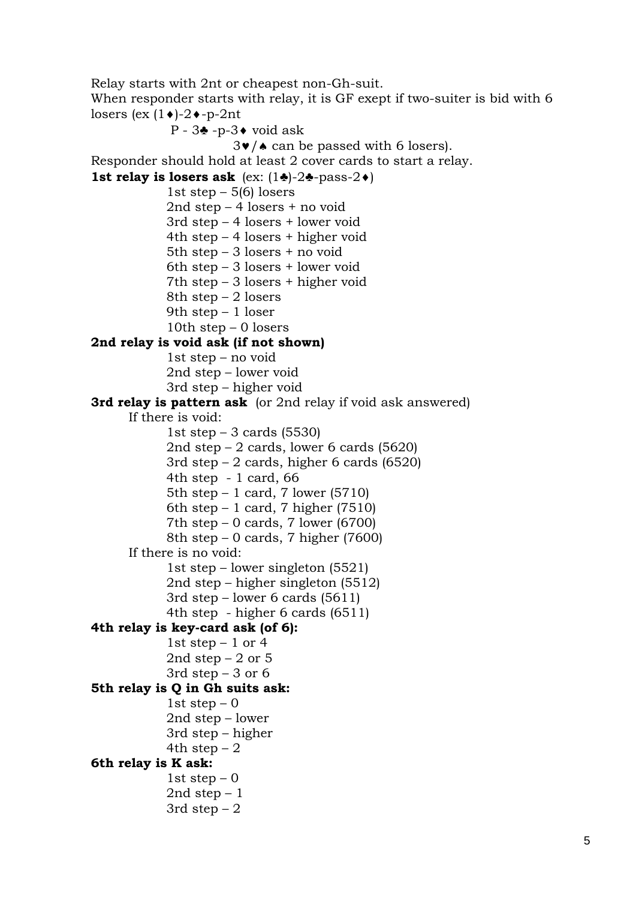Relay starts with 2nt or cheapest non-Gh-suit.

When responder starts with relay, it is GF exept if two-suiter is bid with 6 losers (ex  $(1\bullet)$ -2 $\bullet$ -p-2nt

P -  $3$  $\bullet$  -p- $3\bullet$  void ask  $3\vee$  /  $\triangle$  can be passed with 6 losers). Responder should hold at least 2 cover cards to start a relay. **1st relay is losers ask** (ex:  $(1\cdot)-2\cdot-$  pass-2 $\cdot$ ) 1st step  $-5(6)$  losers 2nd step – 4 losers + no void 3rd step – 4 losers + lower void 4th step – 4 losers + higher void 5th step – 3 losers + no void 6th step – 3 losers + lower void 7th step – 3 losers + higher void 8th step  $-2$  losers 9th step – 1 loser 10th step  $-0$  losers **2nd relay is void ask (if not shown)**  1st step – no void 2nd step – lower void 3rd step – higher void **3rd relay is pattern ask** (or 2nd relay if void ask answered) If there is void: 1st step  $-3$  cards (5530) 2nd step – 2 cards, lower 6 cards (5620) 3rd step – 2 cards, higher 6 cards (6520) 4th step - 1 card, 66 5th step – 1 card, 7 lower (5710) 6th step  $-1$  card, 7 higher (7510) 7th step – 0 cards, 7 lower (6700) 8th step – 0 cards, 7 higher (7600) If there is no void: 1st step – lower singleton (5521) 2nd step – higher singleton (5512) 3rd step – lower 6 cards (5611) 4th step - higher 6 cards (6511) **4th relay is key-card ask (of 6):**  1st step  $-1$  or 4 2nd step  $-2$  or 5 3rd step  $-3$  or  $6$ **5th relay is Q in Gh suits ask:**  1st step  $-0$  2nd step – lower 3rd step – higher 4th step  $-2$ **6th relay is K ask:**  1st step  $-0$ 

> 2nd step  $-1$ 3rd step  $-2$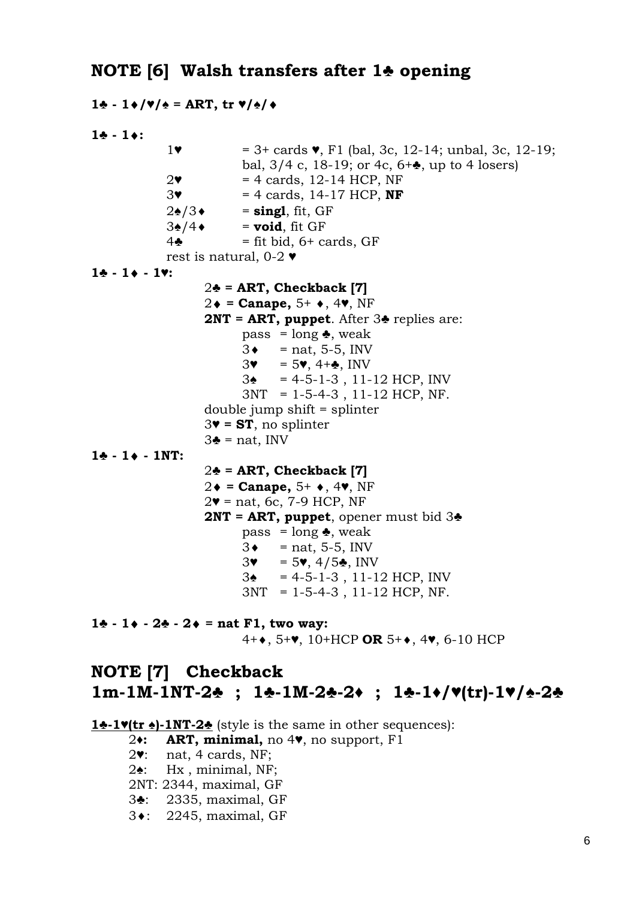### **NOTE [6] Walsh transfers after 1♣ opening**

```
1♣ - 1/♥/♠ = ART, tr ♥/♠/
1\bullet - 1\bullet :
             1\bullet = 3+ cards \bullet, F1 (bal, 3c, 12-14; unbal, 3c, 12-19;
                           bal, 3/4 c, 18-19; or 4c, 6+\bullet, up to 4 losers)
             2\bullet = 4 cards, 12-14 HCP, NF
              3♥ = 4 cards, 14-17 HCP, NF
             2\cdot/3 = singl, fit, GF
             3\angle/4\bullet = void, fit GF
             4\clubsuit = fit bid, 6+ cards, GF
              rest is natural, 0-2 ♥
1♣ - 1 - 1♥: 
                     2♣ = ART, Checkback [7]
                    2\bullet = Canape, 5+ \bullet, 4\bullet, NF
                     2NT = ART, puppet. After 3♣ replies are: 
                           pass = long \triangle, weak
                           3 \bullet = \text{nat}, 5 \text{-} 5, \text{INV}3\mathbf{v} = 5\mathbf{v}, 4+\mathbf{v}, \text{INV}3\bullet = 4 - 5 - 1 - 3, 11-12 HCP, INV
                            3NT = 1-5-4-3 , 11-12 HCP, NF. 
                     double jump shift = splinter 
                     3♥ = ST, no splinter
                    3\bullet = nat, INV
1* - 1* - 1NT: 2♣ = ART, Checkback [7] 
                    2\bullet = Canape, 5^+ \bullet, 4\bullet, NF
                    2\blacktriangledown = nat, 6c, 7-9 HCP, NF
                     2NT = ART, puppet, opener must bid 3♣
                           pass = long \triangle, weak
                           3 \bullet = \text{nat}, 5 \text{-} 5, \text{INV}3\mathbf{v} = 5\mathbf{v}, 4/5\mathbf{A}, INV
                            3♠ = 4-5-1-3 , 11-12 HCP, INV 
                            3NT = 1-5-4-3 , 11-12 HCP, NF. 
1♣ - 1 - 2♣ - 2 = nat F1, two way: 
                            4+, 5+♥, 10+HCP OR 5+, 4♥, 6-10 HCP 
NOTE [7] Checkback 
1m-1M-1NT-2♣ ; 1♣-1M-2♣-2♦ ; 1♣-1♦/♥(tr)-1♥/♠-2♣
```
**1♣-1♥(tr ♠)-1NT-2♣** (style is the same in other sequences):

2**♦: ART, minimal,** no 4♥, no support, F1

2♥: nat, 4 cards, NF;

2♠: Hx , minimal, NF;

2NT: 2344, maximal, GF

3♣: 2335, maximal, GF

3<sup>\*</sup>: 2245, maximal, GF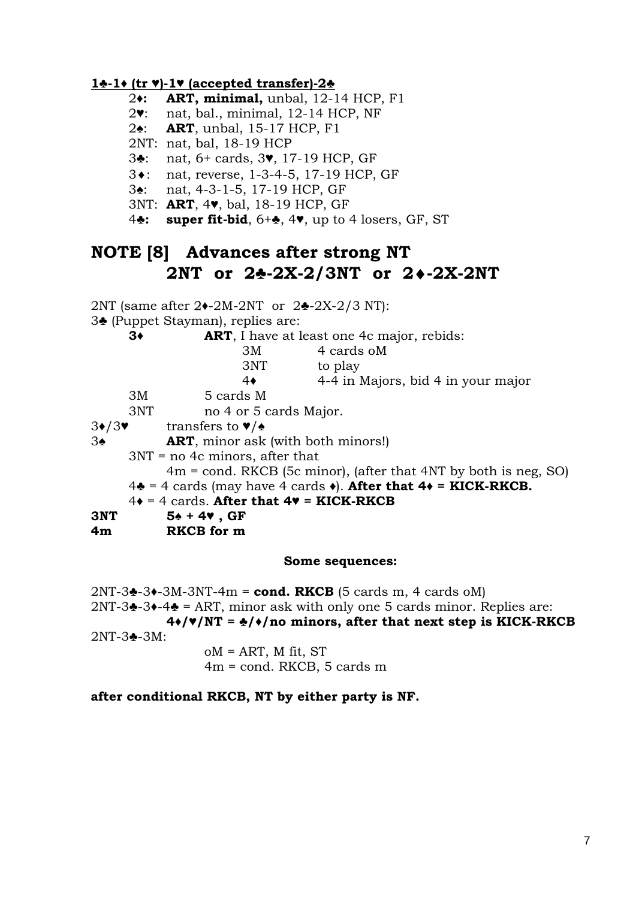### **1♣-1♦ (tr** ♥**)-1**♥ **(accepted transfer)-2♣**

- 2**♦: ART, minimal,** unbal, 12-14 HCP, F1
- 2♥: nat, bal., minimal, 12-14 HCP, NF
- 2♠: **ART**, unbal, 15-17 HCP, F1
- 2NT: nat, bal, 18-19 HCP
- 3♣: nat, 6+ cards, 3♥, 17-19 HCP, GF
- 3: nat, reverse, 1-3-4-5, 17-19 HCP, GF
- 3♠: nat, 4-3-1-5, 17-19 HCP, GF
- 3NT: **ART**, 4♥, bal, 18-19 HCP, GF
- 4**♣: super fit-bid**, 6+♣, 4♥, up to 4 losers, GF, ST

### **NOTE [8] Advances after strong NT 2NT or 2♣-2X-2/3NT or 2-2X-2NT**

2NT (same after 2♦-2M-2NT or 2♣-2X-2/3 NT):

3♣ (Puppet Stayman), replies are:

| $3\bullet$ | <b>ART</b> , I have at least one 4c major, rebids: |
|------------|----------------------------------------------------|
|------------|----------------------------------------------------|

- 3M 4 cards oM 3NT to play 4♦ 4-4 in Majors, bid 4 in your major 3M 5 cards M 3NT no 4 or 5 cards Major. 3♦/3♥ transfers to ♥/♠ 3♠ **ART**, minor ask (with both minors!)
- - 3NT = no 4c minors, after that

4m = cond. RKCB (5c minor), (after that 4NT by both is neg, SO)

- $4\bullet$  = 4 cards (may have 4 cards  $\bullet$ ). After that  $4\bullet$  = KICK-RKCB.
- $4\bullet = 4$  cards. After that  $4\bullet =$  KICK-RKCB
- **3NT 5♠ + 4♥ , GF**
- **4m RKCB for m**

#### **Some sequences:**

2NT-3♣-3♦-3M-3NT-4m = **cond. RKCB** (5 cards m, 4 cards oM)  $2NT-3$  $-3$  $-4$  $-5$  = ART, minor ask with only one 5 cards minor. Replies are: **4♦/♥/NT = ♣/♦/no minors, after that next step is KICK-RKCB**  2NT-3♣-3M:  $oM = ART$ , M fit, ST

4m = cond. RKCB, 5 cards m

### **after conditional RKCB, NT by either party is NF.**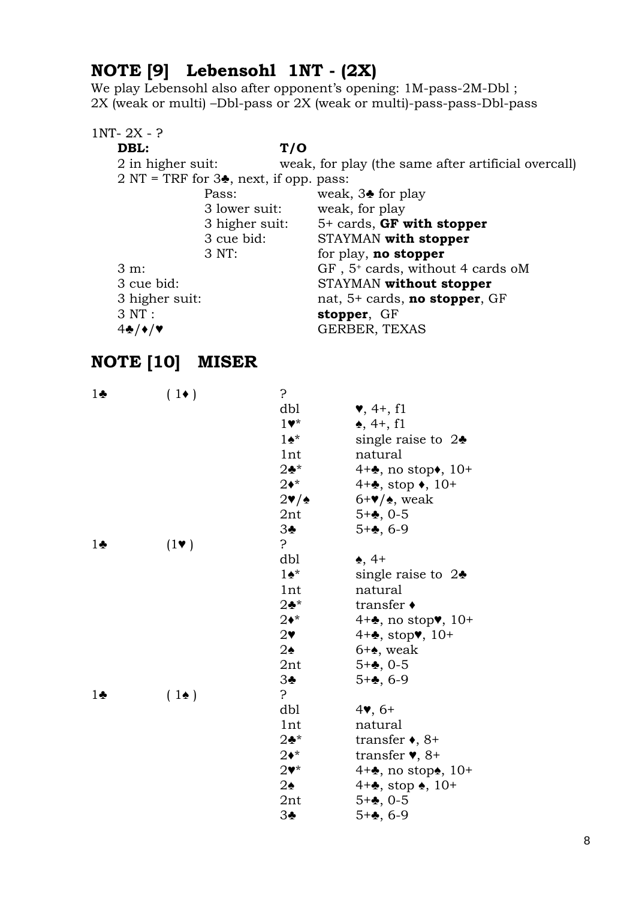# **NOTE [9] Lebensohl 1NT - (2X)**

We play Lebensohl also after opponent's opening: 1M-pass-2M-Dbl ; 2X (weak or multi) –Dbl-pass or 2X (weak or multi)-pass-pass-Dbl-pass

### 1NT- 2X- ? **DBL: T/O**  2 in higher suit: weak, for play (the same after artificial overcall) 2 NT = TRF for  $3\clubsuit$ , next, if opp. pass: Pass: weak, 3 for play 3 lower suit: weak, for play 3 higher suit: 5+ cards, **GF with stopper** 3 cue bid: STAYMAN **with stopper** 3 NT: for play, **no stopper** 3 m: GF, 5<sup>+</sup> cards, without 4 cards oM 3 cue bid: STAYMAN **without stopper** 3 higher suit: nat, 5+ cards, **no stopper**, GF 3 NT : **stopper**, GF 4♣/♦/♥ GERBER, TEXAS

# **NOTE [10] MISER**

| $1\clubsuit$ | $(1\bullet)$  | ?                                    |                                                       |
|--------------|---------------|--------------------------------------|-------------------------------------------------------|
|              |               | dbl                                  | $\blacktriangledown, 4+, f1$                          |
|              |               | $1\bullet*$                          | $\spadesuit$ , 4+, f1                                 |
|              |               | $1\bullet^*$                         | single raise to $2\bullet$                            |
|              |               | 1nt                                  | natural                                               |
|              |               | $2\clubsuit^{\star}$                 | $4 + \bullet$ , no stop $\bullet$ , 10+               |
|              |               | $2\bullet^*$                         | $4 + \bullet$ , stop $\bullet$ , 10+                  |
|              |               | $2\blacktriangledown/\blacktriangle$ | $6+\mathbf{v}/\mathbf{A}$ , weak                      |
|              |               | 2nt                                  | $5 + 4, 0 - 5$                                        |
|              |               | 3 <sub>2</sub>                       | $5 + 4, 6 - 9$                                        |
| $1\bullet$   | $(1 \bullet)$ | $\mathcal{S}$                        |                                                       |
|              |               | dbl                                  | $\clubsuit$ , 4+                                      |
|              |               | $1\bullet^*$                         | single raise to $2\bullet$                            |
|              |               | 1nt                                  | natural                                               |
|              |               | $2\clubsuit^*$                       | transfer $\triangleleft$                              |
|              |               | $2\bullet^*$                         | $4 + \bullet$ , no stop $\blacktriangledown$ , $10 +$ |
|              |               | $2\bullet$                           | $4 + \clubsuit$ , stop $\blacktriangledown$ , 10+     |
|              |               | $2\spadesuit$                        | $6 + \bullet$ , weak                                  |
|              |               | 2nt                                  | $5 + 4, 0 - 5$                                        |
|              |               | 3 <sub>2</sub>                       | $5 + 4, 6 - 9$                                        |
| $1\bullet$   | $(1\bullet)$  | $\mathcal{S}$                        |                                                       |
|              |               | dbl                                  | $4$ , 6+                                              |
|              |               | 1nt                                  | natural                                               |
|              |               | $2\clubsuit^{\star}$                 | transfer $\bullet$ , 8+                               |
|              |               | $2\bullet^*$                         | transfer $\blacktriangledown$ , 8+                    |
|              |               | $2\blacktriangledown^*$              | $4 + \bullet$ , no stop $\bullet$ , 10+               |
|              |               | $2\spadesuit$                        | $4 + \bullet$ , stop $\bullet$ , 10+                  |
|              |               | 2nt                                  | $5 + 4, 0 - 5$                                        |
|              |               | 3♣                                   | $5 + 4, 6 - 9$                                        |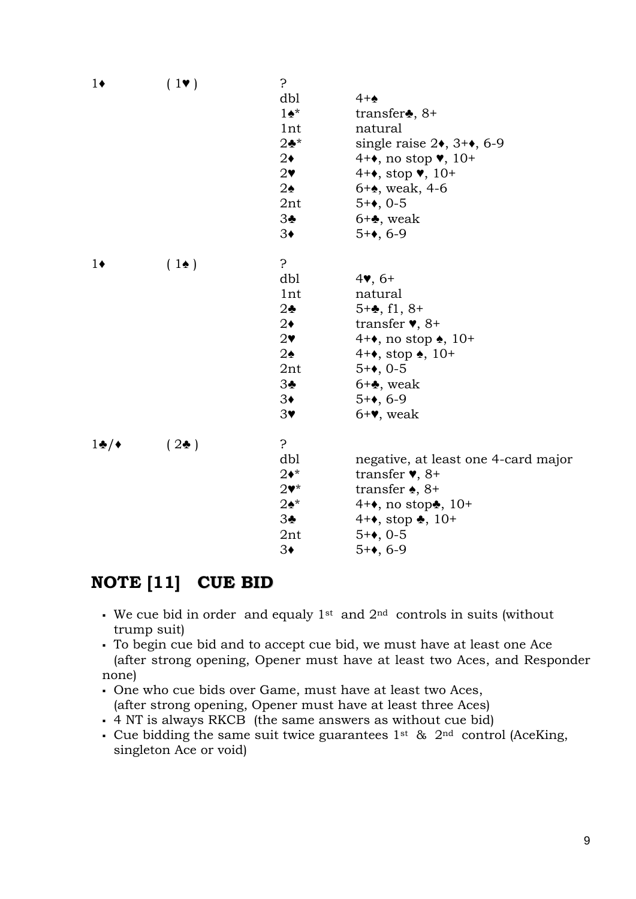| dbl<br>$4 + \spadesuit$<br>$1\bullet^*$<br>transfer $\clubsuit$ , 8+<br>1nt<br>natural<br>$2\clubsuit^{\star}$<br>single raise $2\bullet$ , $3+\bullet$ , 6-9<br>$2\bullet$<br>$4 + \bullet$ , no stop $\bullet$ , 10+<br>$2\bullet$<br>$4 + \bullet$ , stop $\bullet$ , 10+<br>$2\spadesuit$<br>$6 + 4$ , weak, 4-6<br>2nt<br>$5 + 0.5$<br>3♣<br>$6 + \clubsuit$ , weak<br>$3\bullet$<br>$5 + \bullet$ , 6-9<br>?<br>$(1\bullet)$<br>dbl<br>$4$ , 6+<br>1nt<br>natural<br>$5 + 4$ , f1, $8 +$<br>$2\clubsuit$<br>transfer $\blacktriangledown$ , 8+<br>$2\bullet$<br>$2\bullet$<br>4+ $\bullet$ , no stop $\bullet$ , 10+<br>$2\spadesuit$<br>$4 + \bullet$ , stop $\bullet$ , 10+<br>$5 + 0.5$<br>2nt<br>3♣<br>$6 + \clubsuit$ , weak<br>$5 + 0.6 - 9$<br>$3\bullet$<br>$3\bullet$<br>$6 + 9$ , weak<br>5<br>$(2\bullet)$<br>dbl<br>negative, at least one 4-card major<br>$2\bullet^*$<br>transfer $\blacktriangledown$ , 8+<br>transfer $\bullet$ , 8+<br>$2\blacktriangledown^*$<br>$2\spadesuit^{\star}$<br>$4 + \bullet$ , no stop $\clubsuit$ , 10+<br>3♣<br>$4 + \bullet$ , stop $\clubsuit$ , 10+<br>$5 + 0.5$<br>$2$ nt<br>$3\bullet$<br>$5 + 0.6 - 9$ | $1\bullet$ | $(1\vee)$ | 5. |  |
|-------------------------------------------------------------------------------------------------------------------------------------------------------------------------------------------------------------------------------------------------------------------------------------------------------------------------------------------------------------------------------------------------------------------------------------------------------------------------------------------------------------------------------------------------------------------------------------------------------------------------------------------------------------------------------------------------------------------------------------------------------------------------------------------------------------------------------------------------------------------------------------------------------------------------------------------------------------------------------------------------------------------------------------------------------------------------------------------------------------------------------------------------------------------|------------|-----------|----|--|
|                                                                                                                                                                                                                                                                                                                                                                                                                                                                                                                                                                                                                                                                                                                                                                                                                                                                                                                                                                                                                                                                                                                                                                   |            |           |    |  |
|                                                                                                                                                                                                                                                                                                                                                                                                                                                                                                                                                                                                                                                                                                                                                                                                                                                                                                                                                                                                                                                                                                                                                                   |            |           |    |  |
|                                                                                                                                                                                                                                                                                                                                                                                                                                                                                                                                                                                                                                                                                                                                                                                                                                                                                                                                                                                                                                                                                                                                                                   |            |           |    |  |
|                                                                                                                                                                                                                                                                                                                                                                                                                                                                                                                                                                                                                                                                                                                                                                                                                                                                                                                                                                                                                                                                                                                                                                   |            |           |    |  |
|                                                                                                                                                                                                                                                                                                                                                                                                                                                                                                                                                                                                                                                                                                                                                                                                                                                                                                                                                                                                                                                                                                                                                                   |            |           |    |  |
|                                                                                                                                                                                                                                                                                                                                                                                                                                                                                                                                                                                                                                                                                                                                                                                                                                                                                                                                                                                                                                                                                                                                                                   |            |           |    |  |
|                                                                                                                                                                                                                                                                                                                                                                                                                                                                                                                                                                                                                                                                                                                                                                                                                                                                                                                                                                                                                                                                                                                                                                   |            |           |    |  |
|                                                                                                                                                                                                                                                                                                                                                                                                                                                                                                                                                                                                                                                                                                                                                                                                                                                                                                                                                                                                                                                                                                                                                                   |            |           |    |  |
|                                                                                                                                                                                                                                                                                                                                                                                                                                                                                                                                                                                                                                                                                                                                                                                                                                                                                                                                                                                                                                                                                                                                                                   |            |           |    |  |
|                                                                                                                                                                                                                                                                                                                                                                                                                                                                                                                                                                                                                                                                                                                                                                                                                                                                                                                                                                                                                                                                                                                                                                   |            |           |    |  |
|                                                                                                                                                                                                                                                                                                                                                                                                                                                                                                                                                                                                                                                                                                                                                                                                                                                                                                                                                                                                                                                                                                                                                                   | $1\bullet$ |           |    |  |
|                                                                                                                                                                                                                                                                                                                                                                                                                                                                                                                                                                                                                                                                                                                                                                                                                                                                                                                                                                                                                                                                                                                                                                   |            |           |    |  |
|                                                                                                                                                                                                                                                                                                                                                                                                                                                                                                                                                                                                                                                                                                                                                                                                                                                                                                                                                                                                                                                                                                                                                                   |            |           |    |  |
|                                                                                                                                                                                                                                                                                                                                                                                                                                                                                                                                                                                                                                                                                                                                                                                                                                                                                                                                                                                                                                                                                                                                                                   |            |           |    |  |
|                                                                                                                                                                                                                                                                                                                                                                                                                                                                                                                                                                                                                                                                                                                                                                                                                                                                                                                                                                                                                                                                                                                                                                   |            |           |    |  |
|                                                                                                                                                                                                                                                                                                                                                                                                                                                                                                                                                                                                                                                                                                                                                                                                                                                                                                                                                                                                                                                                                                                                                                   |            |           |    |  |
|                                                                                                                                                                                                                                                                                                                                                                                                                                                                                                                                                                                                                                                                                                                                                                                                                                                                                                                                                                                                                                                                                                                                                                   |            |           |    |  |
|                                                                                                                                                                                                                                                                                                                                                                                                                                                                                                                                                                                                                                                                                                                                                                                                                                                                                                                                                                                                                                                                                                                                                                   |            |           |    |  |
|                                                                                                                                                                                                                                                                                                                                                                                                                                                                                                                                                                                                                                                                                                                                                                                                                                                                                                                                                                                                                                                                                                                                                                   |            |           |    |  |
|                                                                                                                                                                                                                                                                                                                                                                                                                                                                                                                                                                                                                                                                                                                                                                                                                                                                                                                                                                                                                                                                                                                                                                   |            |           |    |  |
|                                                                                                                                                                                                                                                                                                                                                                                                                                                                                                                                                                                                                                                                                                                                                                                                                                                                                                                                                                                                                                                                                                                                                                   |            |           |    |  |
|                                                                                                                                                                                                                                                                                                                                                                                                                                                                                                                                                                                                                                                                                                                                                                                                                                                                                                                                                                                                                                                                                                                                                                   | $1\cdot/$  |           |    |  |
|                                                                                                                                                                                                                                                                                                                                                                                                                                                                                                                                                                                                                                                                                                                                                                                                                                                                                                                                                                                                                                                                                                                                                                   |            |           |    |  |
|                                                                                                                                                                                                                                                                                                                                                                                                                                                                                                                                                                                                                                                                                                                                                                                                                                                                                                                                                                                                                                                                                                                                                                   |            |           |    |  |
|                                                                                                                                                                                                                                                                                                                                                                                                                                                                                                                                                                                                                                                                                                                                                                                                                                                                                                                                                                                                                                                                                                                                                                   |            |           |    |  |
|                                                                                                                                                                                                                                                                                                                                                                                                                                                                                                                                                                                                                                                                                                                                                                                                                                                                                                                                                                                                                                                                                                                                                                   |            |           |    |  |
|                                                                                                                                                                                                                                                                                                                                                                                                                                                                                                                                                                                                                                                                                                                                                                                                                                                                                                                                                                                                                                                                                                                                                                   |            |           |    |  |
|                                                                                                                                                                                                                                                                                                                                                                                                                                                                                                                                                                                                                                                                                                                                                                                                                                                                                                                                                                                                                                                                                                                                                                   |            |           |    |  |
|                                                                                                                                                                                                                                                                                                                                                                                                                                                                                                                                                                                                                                                                                                                                                                                                                                                                                                                                                                                                                                                                                                                                                                   |            |           |    |  |

## **NOTE [11] CUE BID**

- We cue bid in order and equaly  $1^{st}$  and  $2^{nd}$  controls in suits (without trump suit)
- To begin cue bid and to accept cue bid, we must have at least one Ace (after strong opening, Opener must have at least two Aces, and Responder none)
- One who cue bids over Game, must have at least two Aces, (after strong opening, Opener must have at least three Aces)
- 4 NT is always RKCB (the same answers as without cue bid)
- Cue bidding the same suit twice guarantees  $1^{st}$  &  $2^{nd}$  control (AceKing, singleton Ace or void)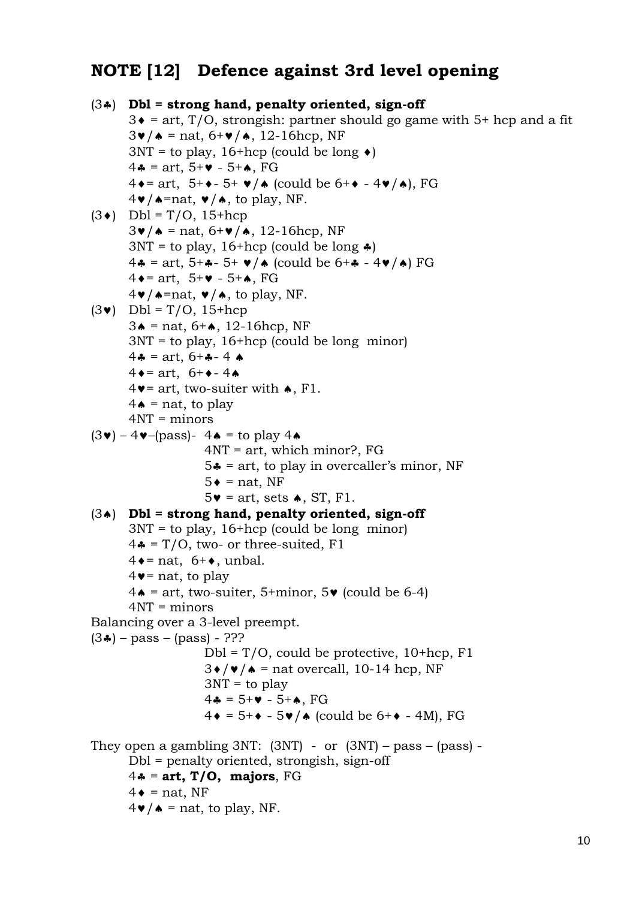# **NOTE [12] Defence against 3rd level opening**

```
(3) Dbl = strong hand, penalty oriented, sign-off
        3\bullet = art, T/O, strongish: partner should go game with 5+ hcp and a fit
        3\mathbf{v}/\mathbf{A} = \text{nat}, 6+\mathbf{v}/\mathbf{A}, 12-16hcp, NF
        3NT = to play, 16+hcp (could be long \triangleleft)
        4 - \text{art}, 5 + \text{Y} - 5 + \text{A}, FG4\bullet = art, 5+\bullet- 5+\bullet/\bullet (could be 6+\bullet - 4\bullet/\bullet), FG
        4\mathbf{v}/\mathbf{A}=nat, \mathbf{v}/\mathbf{A}, to play, NF.
(3\bullet) Dbl = T/O, 15+hcp
        3\mathbf{v}/\mathbf{A} = \text{nat}, 6+\mathbf{v}/\mathbf{A}, 12 - 16hcp, NF
        3NT = to play, 16+hcp (could be long \clubsuit)
        4\clubsuit = \text{art}, 5 + \clubsuit - 5 + \vee / \spadesuit (could be 6 + \spadesuit - 4 \vee / \spadesuit) FG
        4 \bullet = art, 5+\bullet - 5+\bullet, FG
        4\mathbf{v}/\mathbf{A}=nat, \mathbf{v}/\mathbf{A}, to play, NF.
(3\vee) Dbl = T/O, 15+hcp
        3 \triangle = nat, 6 + \triangle, 12-16hcp, NF
         3NT = to play, 16+hcp (could be long minor) 
        4 - \arct, 6 + - 44 \bullet = art, 6+\bullet - 4 \bullet4\blacktriangledown art, two-suiter with \blacktriangle, F1.
        4\bullet = nat, to play
         4NT = minors 
(3\vee) – 4\vee–(pass)- 4\uparrow = to play 4\uparrow 4NT = art, which minor?, FG 
                         5* = art, to play in overcaller's minor, NF
                         5 \bullet = \text{nat}. NF
                         5\bullet = art, sets \bullet, ST, F1.
(3) Dbl = strong hand, penalty oriented, sign-off 
         3NT = to play, 16+hcp (could be long minor) 
        4\clubsuit = T/O, two- or three-suited, F1
        4 \bullet = nat, 6+\bullet, unbal.
        4\bullet = nat, to play
        4\bullet = art, two-suiter, 5+minor, 5\bullet (could be 6-4)
         4NT = minors 
Balancing over a 3-level preempt. 
(3*) - \text{pass} - (\text{pass}) - ???
                         Dbl = T/O, could be protective, 10+hcp, F1
                         3\bullet/\bullet/ \bullet = nat overcall, 10-14 hcp, NF
                         3NT = to play4 - 5 + 4 - 5 + 4, FG
                         4\bullet = 5+\bullet - 5\bullet / \bullet (could be 6+\bullet - 4M), FG
They open a gambling 3NT: (3NT) - or (3NT) - pass - (pass) - Dbl = penalty oriented, strongish, sign-off 
        4\ast = art, T/O, majors, FG
        4\bullet = nat, NF
        4\mathbf{v}/\mathbf{A} = nat, to play, NF.
```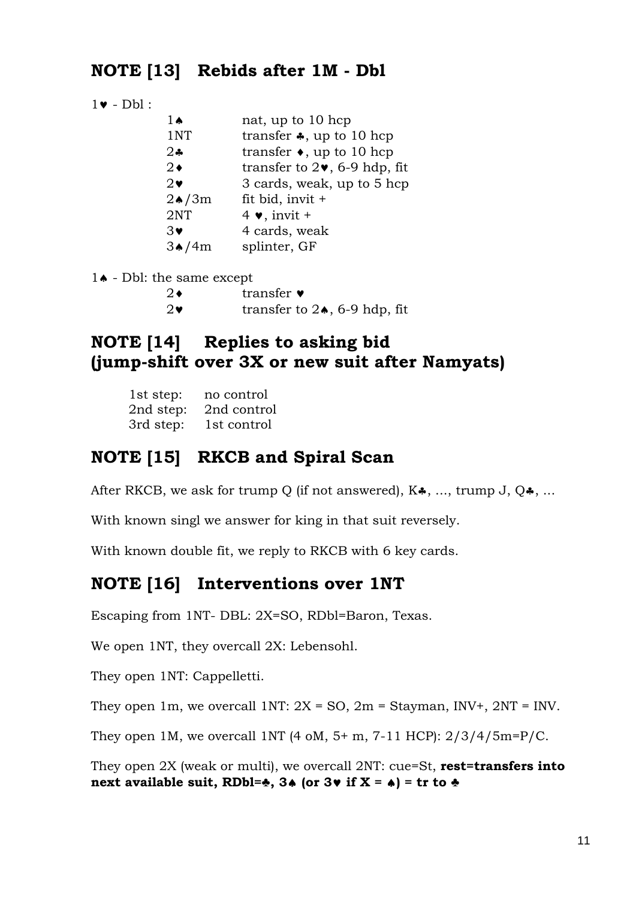## **NOTE [13] Rebids after 1M - Dbl**

|  | Dbl |  |
|--|-----|--|
|  |     |  |

| 1ѧ            | nat, up to 10 hcp                                |
|---------------|--------------------------------------------------|
| 1NT           | transfer $\clubsuit$ , up to 10 hcp              |
| $2\clubsuit$  | transfer $\bullet$ , up to 10 hcp                |
| $2\bullet$    | transfer to $2\blacktriangledown$ , 6-9 hdp, fit |
| $2\bullet$    | 3 cards, weak, up to 5 hcp                       |
| $2\bullet/3m$ | fit bid, invit $+$                               |
| 2NT           | $4 \bullet$ , invit +                            |
| $3\bullet$    | 4 cards, weak                                    |
| 3♠            | splinter, GF                                     |

 $1\bullet$  - Dbl: the same except

| 2♦ | transfer $\bullet$ |
|----|--------------------|
|----|--------------------|

2 $\bullet$  transfer to 2 $\bullet$ , 6-9 hdp, fit

## **NOTE [14] Replies to asking bid (jump-shift over 3X or new suit after Namyats)**

| 1st step: | no control  |  |  |  |
|-----------|-------------|--|--|--|
| 2nd step: | 2nd control |  |  |  |
| 3rd step: | 1st control |  |  |  |

## **NOTE [15] RKCB and Spiral Scan**

After RKCB, we ask for trump Q (if not answered),  $K\clubsuit$ , ..., trump J, Q $\clubsuit$ , ...

With known singl we answer for king in that suit reversely.

With known double fit, we reply to RKCB with 6 key cards.

### **NOTE [16] Interventions over 1NT**

Escaping from 1NT- DBL: 2X=SO, RDbl=Baron, Texas.

We open 1NT, they overcall 2X: Lebensohl.

They open 1NT: Cappelletti.

They open 1m, we overcall 1NT:  $2X = SO$ ,  $2m = Stavman$ ,  $INV+$ ,  $2NT = INV$ .

They open 1M, we overcall 1NT  $(4 \text{ oM}, 5+m, 7-11 \text{ HCP})$ :  $2/3/4/5$ m=P/C.

They open 2X (weak or multi), we overcall 2NT: cue=St, **rest=transfers into**  next available suit, RDbl= $\clubsuit$ , 3 $\spadesuit$  (or 3 $\spadesuit$  if X =  $\spadesuit$ ) = tr to  $\clubsuit$